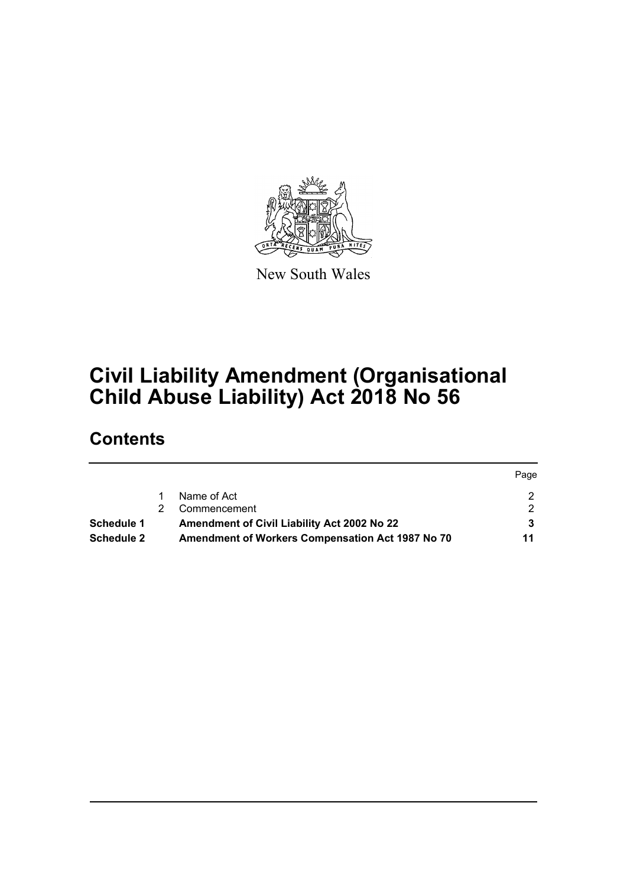

New South Wales

# **Civil Liability Amendment (Organisational Child Abuse Liability) Act 2018 No 56**

# **Contents**

|                   |                                                  | rage |
|-------------------|--------------------------------------------------|------|
|                   | Name of Act                                      |      |
|                   | Commencement                                     |      |
| Schedule 1        | Amendment of Civil Liability Act 2002 No 22      |      |
| <b>Schedule 2</b> | Amendment of Workers Compensation Act 1987 No 70 | 11   |

Page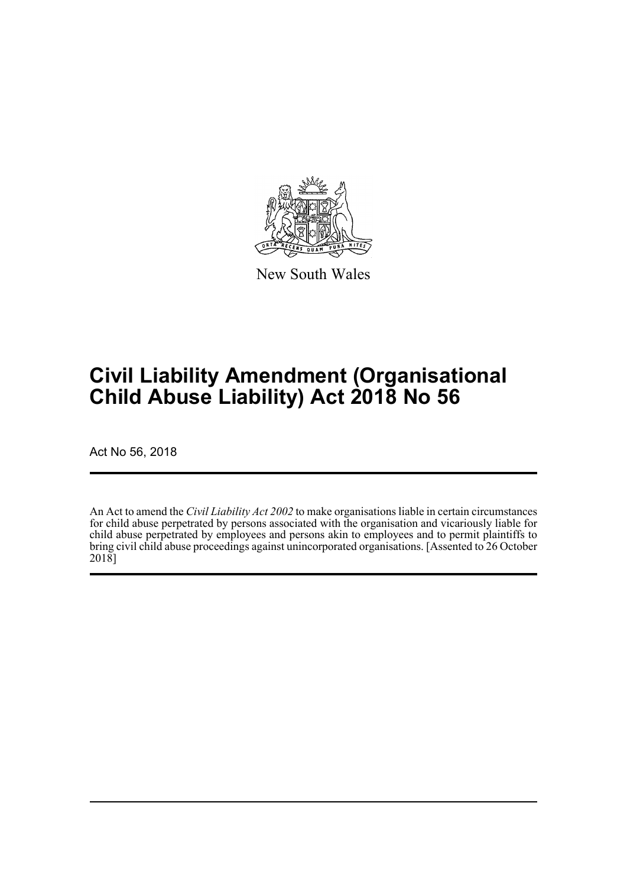

New South Wales

# **Civil Liability Amendment (Organisational Child Abuse Liability) Act 2018 No 56**

Act No 56, 2018

An Act to amend the *Civil Liability Act 2002* to make organisations liable in certain circumstances for child abuse perpetrated by persons associated with the organisation and vicariously liable for child abuse perpetrated by employees and persons akin to employees and to permit plaintiffs to bring civil child abuse proceedings against unincorporated organisations. [Assented to 26 October 2018]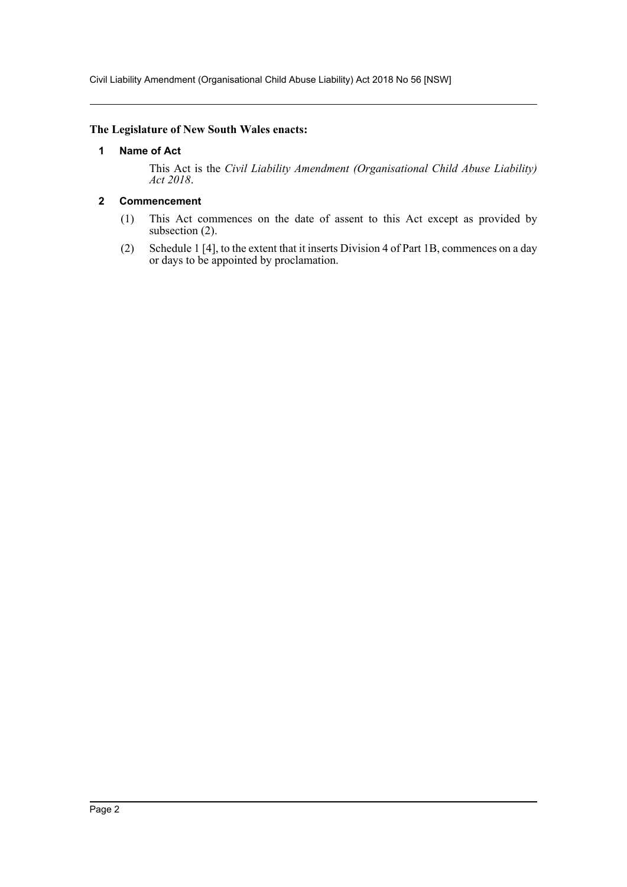Civil Liability Amendment (Organisational Child Abuse Liability) Act 2018 No 56 [NSW]

#### <span id="page-2-0"></span>**The Legislature of New South Wales enacts:**

#### **1 Name of Act**

This Act is the *Civil Liability Amendment (Organisational Child Abuse Liability) Act 2018*.

## <span id="page-2-1"></span>**2 Commencement**

- (1) This Act commences on the date of assent to this Act except as provided by subsection (2).
- (2) Schedule 1 [4], to the extent that it inserts Division 4 of Part 1B, commences on a day or days to be appointed by proclamation.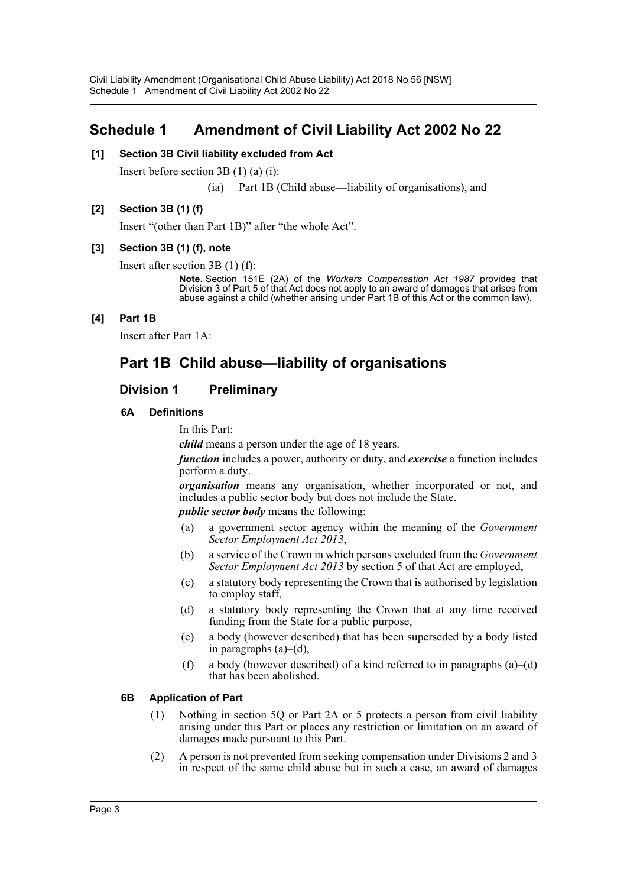# <span id="page-3-0"></span>**Schedule 1 Amendment of Civil Liability Act 2002 No 22**

#### **[1] Section 3B Civil liability excluded from Act**

Insert before section 3B (1) (a) (i):

(ia) Part 1B (Child abuse—liability of organisations), and

#### **[2] Section 3B (1) (f)**

Insert "(other than Part 1B)" after "the whole Act".

#### **[3] Section 3B (1) (f), note**

Insert after section 3B (1) (f):

**Note.** Section 151E (2A) of the *Workers Compensation Act 1987* provides that Division 3 of Part 5 of that Act does not apply to an award of damages that arises from abuse against a child (whether arising under Part 1B of this Act or the common law).

#### **[4] Part 1B**

Insert after Part 1A:

# **Part 1B Child abuse—liability of organisations**

## **Division 1 Preliminary**

#### **6A Definitions**

In this Part:

*child* means a person under the age of 18 years.

*function* includes a power, authority or duty, and *exercise* a function includes perform a duty.

*organisation* means any organisation, whether incorporated or not, and includes a public sector body but does not include the State.

*public sector body* means the following:

- (a) a government sector agency within the meaning of the *Government Sector Employment Act 2013*,
- (b) a service of the Crown in which persons excluded from the *Government Sector Employment Act 2013* by section 5 of that Act are employed,
- (c) a statutory body representing the Crown that is authorised by legislation to employ staff,
- (d) a statutory body representing the Crown that at any time received funding from the State for a public purpose,
- (e) a body (however described) that has been superseded by a body listed in paragraphs (a)–(d),
- (f) a body (however described) of a kind referred to in paragraphs  $(a)$ –(d) that has been abolished.

#### **6B Application of Part**

- (1) Nothing in section 5Q or Part 2A or 5 protects a person from civil liability arising under this Part or places any restriction or limitation on an award of damages made pursuant to this Part.
- (2) A person is not prevented from seeking compensation under Divisions 2 and 3 in respect of the same child abuse but in such a case, an award of damages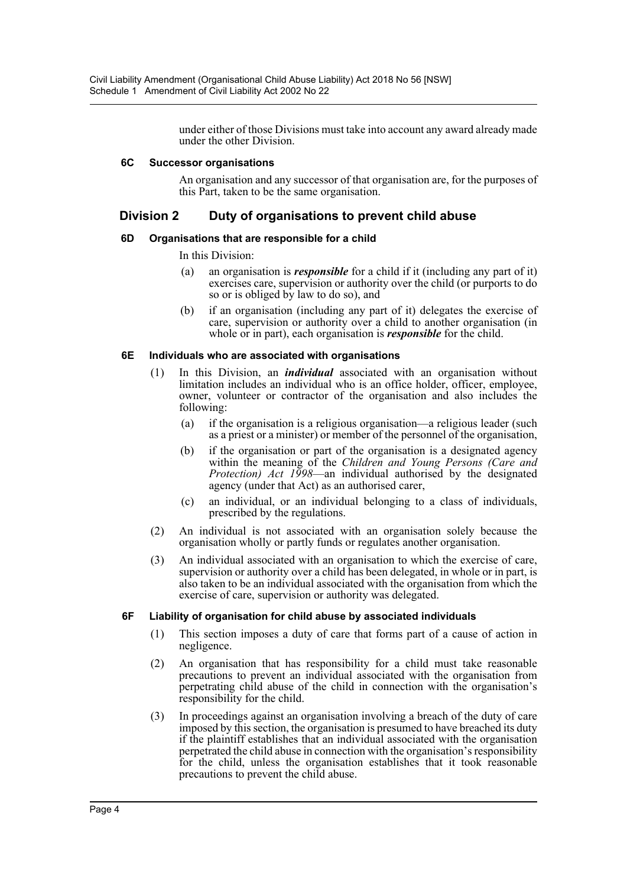under either of those Divisions must take into account any award already made under the other Division.

#### **6C Successor organisations**

An organisation and any successor of that organisation are, for the purposes of this Part, taken to be the same organisation.

## **Division 2 Duty of organisations to prevent child abuse**

#### **6D Organisations that are responsible for a child**

#### In this Division:

- (a) an organisation is *responsible* for a child if it (including any part of it) exercises care, supervision or authority over the child (or purports to do so or is obliged by law to do so), and
- (b) if an organisation (including any part of it) delegates the exercise of care, supervision or authority over a child to another organisation (in whole or in part), each organisation is *responsible* for the child.

#### **6E Individuals who are associated with organisations**

- (1) In this Division, an *individual* associated with an organisation without limitation includes an individual who is an office holder, officer, employee, owner, volunteer or contractor of the organisation and also includes the following:
	- (a) if the organisation is a religious organisation—a religious leader (such as a priest or a minister) or member of the personnel of the organisation,
	- (b) if the organisation or part of the organisation is a designated agency within the meaning of the *Children and Young Persons (Care and Protection) Act 1998*—an individual authorised by the designated agency (under that Act) as an authorised carer,
	- (c) an individual, or an individual belonging to a class of individuals, prescribed by the regulations.
- (2) An individual is not associated with an organisation solely because the organisation wholly or partly funds or regulates another organisation.
- (3) An individual associated with an organisation to which the exercise of care, supervision or authority over a child has been delegated, in whole or in part, is also taken to be an individual associated with the organisation from which the exercise of care, supervision or authority was delegated.

#### **6F Liability of organisation for child abuse by associated individuals**

- (1) This section imposes a duty of care that forms part of a cause of action in negligence.
- (2) An organisation that has responsibility for a child must take reasonable precautions to prevent an individual associated with the organisation from perpetrating child abuse of the child in connection with the organisation's responsibility for the child.
- (3) In proceedings against an organisation involving a breach of the duty of care imposed by this section, the organisation is presumed to have breached its duty if the plaintiff establishes that an individual associated with the organisation perpetrated the child abuse in connection with the organisation's responsibility for the child, unless the organisation establishes that it took reasonable precautions to prevent the child abuse.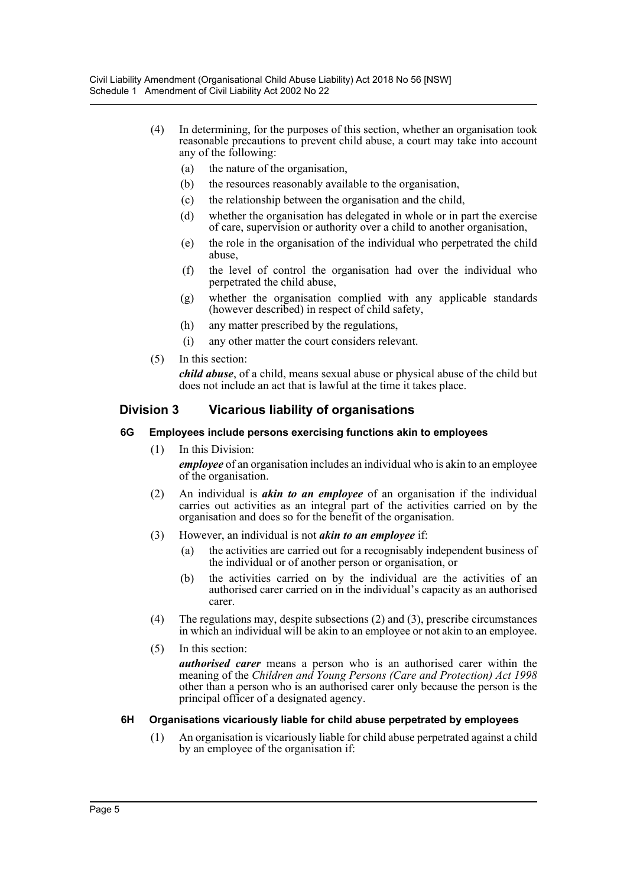- (4) In determining, for the purposes of this section, whether an organisation took reasonable precautions to prevent child abuse, a court may take into account any of the following:
	- (a) the nature of the organisation,
	- (b) the resources reasonably available to the organisation,
	- (c) the relationship between the organisation and the child,
	- (d) whether the organisation has delegated in whole or in part the exercise of care, supervision or authority over a child to another organisation,
	- (e) the role in the organisation of the individual who perpetrated the child abuse,
	- (f) the level of control the organisation had over the individual who perpetrated the child abuse,
	- (g) whether the organisation complied with any applicable standards (however described) in respect of child safety,
	- (h) any matter prescribed by the regulations,
	- (i) any other matter the court considers relevant.
- (5) In this section:

*child abuse*, of a child, means sexual abuse or physical abuse of the child but does not include an act that is lawful at the time it takes place.

# **Division 3 Vicarious liability of organisations**

#### **6G Employees include persons exercising functions akin to employees**

- (1) In this Division: *employee* of an organisation includes an individual who is akin to an employee of the organisation.
- (2) An individual is *akin to an employee* of an organisation if the individual carries out activities as an integral part of the activities carried on by the organisation and does so for the benefit of the organisation.
- (3) However, an individual is not *akin to an employee* if:
	- (a) the activities are carried out for a recognisably independent business of the individual or of another person or organisation, or
	- (b) the activities carried on by the individual are the activities of an authorised carer carried on in the individual's capacity as an authorised carer.
- (4) The regulations may, despite subsections (2) and (3), prescribe circumstances in which an individual will be akin to an employee or not akin to an employee.
- (5) In this section:

*authorised carer* means a person who is an authorised carer within the meaning of the *Children and Young Persons (Care and Protection) Act 1998* other than a person who is an authorised carer only because the person is the principal officer of a designated agency.

## **6H Organisations vicariously liable for child abuse perpetrated by employees**

(1) An organisation is vicariously liable for child abuse perpetrated against a child by an employee of the organisation if: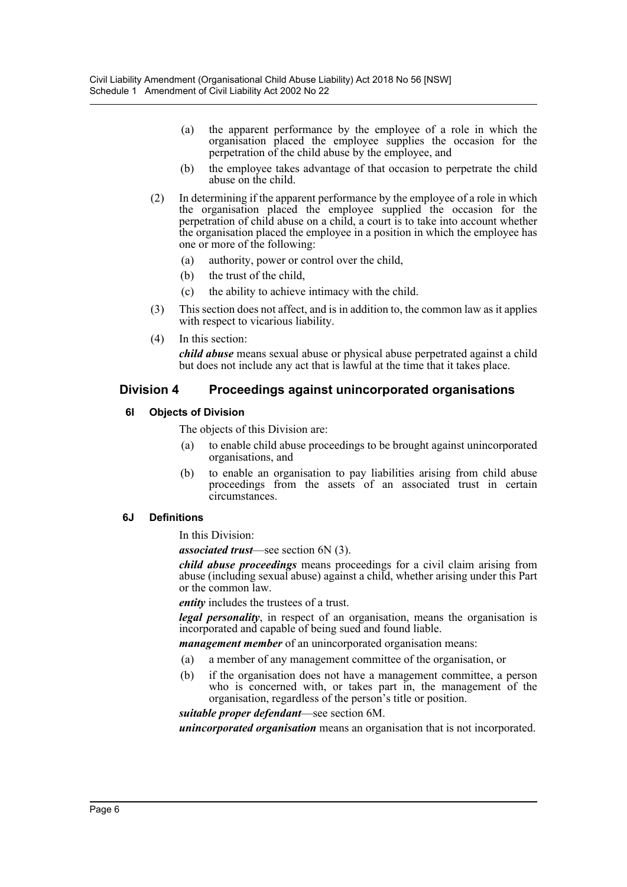- (a) the apparent performance by the employee of a role in which the organisation placed the employee supplies the occasion for the perpetration of the child abuse by the employee, and
- (b) the employee takes advantage of that occasion to perpetrate the child abuse on the child.
- (2) In determining if the apparent performance by the employee of a role in which the organisation placed the employee supplied the occasion for the perpetration of child abuse on a child, a court is to take into account whether the organisation placed the employee in a position in which the employee has one or more of the following:
	- (a) authority, power or control over the child,
	- (b) the trust of the child,
	- (c) the ability to achieve intimacy with the child.
- (3) This section does not affect, and is in addition to, the common law as it applies with respect to vicarious liability.
- (4) In this section:

*child abuse* means sexual abuse or physical abuse perpetrated against a child but does not include any act that is lawful at the time that it takes place.

#### **Division 4 Proceedings against unincorporated organisations**

#### **6I Objects of Division**

The objects of this Division are:

- (a) to enable child abuse proceedings to be brought against unincorporated organisations, and
- (b) to enable an organisation to pay liabilities arising from child abuse proceedings from the assets of an associated trust in certain circumstances.

#### **6J Definitions**

In this Division:

*associated trust*—see section 6N (3).

*child abuse proceedings* means proceedings for a civil claim arising from abuse (including sexual abuse) against a child, whether arising under this Part or the common law.

*entity* includes the trustees of a trust.

*legal personality*, in respect of an organisation, means the organisation is incorporated and capable of being sued and found liable.

*management member* of an unincorporated organisation means:

- (a) a member of any management committee of the organisation, or
- (b) if the organisation does not have a management committee, a person who is concerned with, or takes part in, the management of the organisation, regardless of the person's title or position.

*suitable proper defendant*—see section 6M.

*unincorporated organisation* means an organisation that is not incorporated.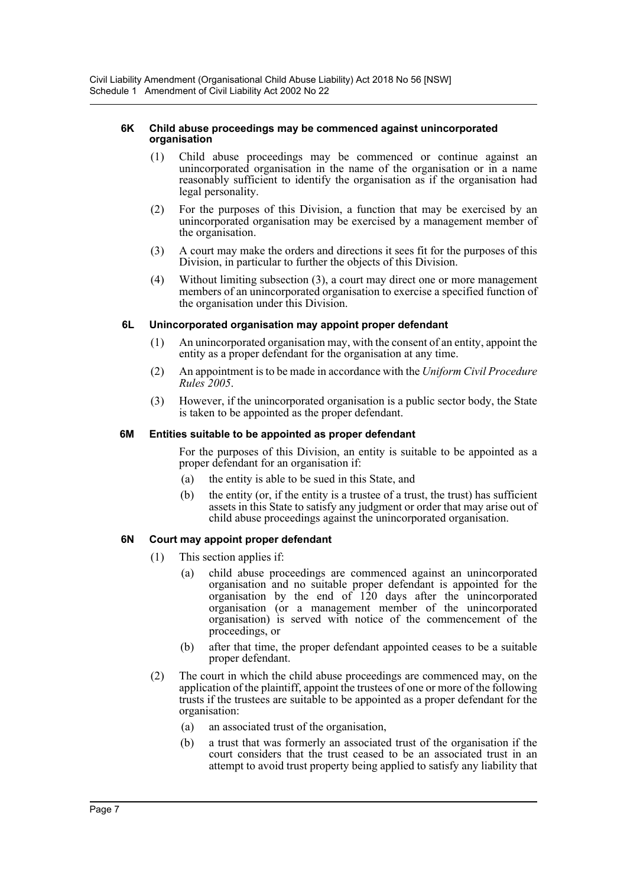#### **6K Child abuse proceedings may be commenced against unincorporated organisation**

- (1) Child abuse proceedings may be commenced or continue against an unincorporated organisation in the name of the organisation or in a name reasonably sufficient to identify the organisation as if the organisation had legal personality.
- (2) For the purposes of this Division, a function that may be exercised by an unincorporated organisation may be exercised by a management member of the organisation.
- (3) A court may make the orders and directions it sees fit for the purposes of this Division, in particular to further the objects of this Division.
- (4) Without limiting subsection (3), a court may direct one or more management members of an unincorporated organisation to exercise a specified function of the organisation under this Division.

#### **6L Unincorporated organisation may appoint proper defendant**

- (1) An unincorporated organisation may, with the consent of an entity, appoint the entity as a proper defendant for the organisation at any time.
- (2) An appointment is to be made in accordance with the *Uniform Civil Procedure Rules 2005*.
- (3) However, if the unincorporated organisation is a public sector body, the State is taken to be appointed as the proper defendant.

#### **6M Entities suitable to be appointed as proper defendant**

For the purposes of this Division, an entity is suitable to be appointed as a proper defendant for an organisation if:

- (a) the entity is able to be sued in this State, and
- (b) the entity (or, if the entity is a trustee of a trust, the trust) has sufficient assets in this State to satisfy any judgment or order that may arise out of child abuse proceedings against the unincorporated organisation.

## **6N Court may appoint proper defendant**

- (1) This section applies if:
	- (a) child abuse proceedings are commenced against an unincorporated organisation and no suitable proper defendant is appointed for the organisation by the end of 120 days after the unincorporated organisation (or a management member of the unincorporated organisation) is served with notice of the commencement of the proceedings, or
	- (b) after that time, the proper defendant appointed ceases to be a suitable proper defendant.
- (2) The court in which the child abuse proceedings are commenced may, on the application of the plaintiff, appoint the trustees of one or more of the following trusts if the trustees are suitable to be appointed as a proper defendant for the organisation:
	- (a) an associated trust of the organisation,
	- (b) a trust that was formerly an associated trust of the organisation if the court considers that the trust ceased to be an associated trust in an attempt to avoid trust property being applied to satisfy any liability that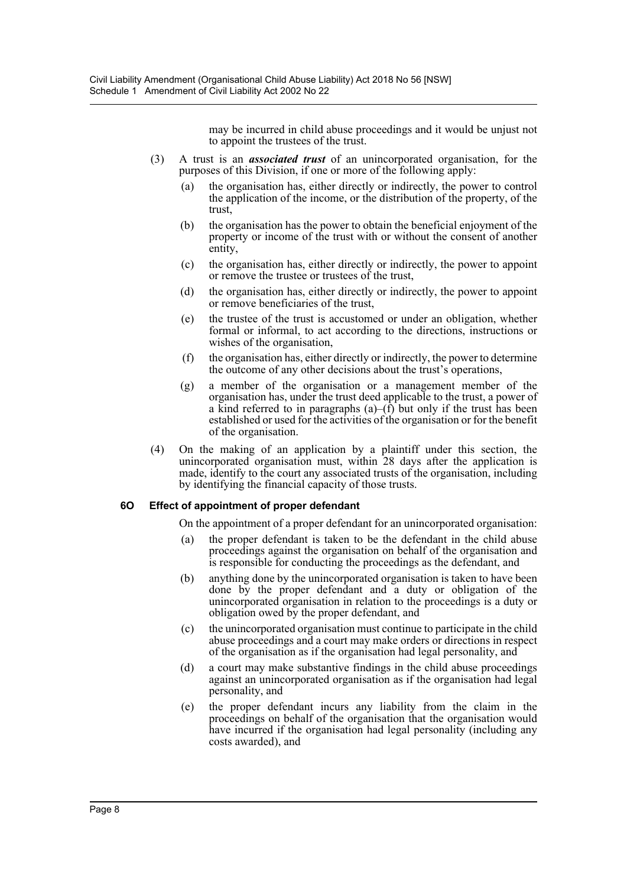may be incurred in child abuse proceedings and it would be unjust not to appoint the trustees of the trust.

- (3) A trust is an *associated trust* of an unincorporated organisation, for the purposes of this Division, if one or more of the following apply:
	- (a) the organisation has, either directly or indirectly, the power to control the application of the income, or the distribution of the property, of the trust,
	- (b) the organisation has the power to obtain the beneficial enjoyment of the property or income of the trust with or without the consent of another entity,
	- (c) the organisation has, either directly or indirectly, the power to appoint or remove the trustee or trustees of the trust,
	- (d) the organisation has, either directly or indirectly, the power to appoint or remove beneficiaries of the trust,
	- (e) the trustee of the trust is accustomed or under an obligation, whether formal or informal, to act according to the directions, instructions or wishes of the organisation,
	- (f) the organisation has, either directly or indirectly, the power to determine the outcome of any other decisions about the trust's operations,
	- (g) a member of the organisation or a management member of the organisation has, under the trust deed applicable to the trust, a power of a kind referred to in paragraphs  $(a)$ – $(\hat{f})$  but only if the trust has been established or used for the activities of the organisation or for the benefit of the organisation.
- (4) On the making of an application by a plaintiff under this section, the unincorporated organisation must, within 28 days after the application is made, identify to the court any associated trusts of the organisation, including by identifying the financial capacity of those trusts.

#### **6O Effect of appointment of proper defendant**

On the appointment of a proper defendant for an unincorporated organisation:

- (a) the proper defendant is taken to be the defendant in the child abuse proceedings against the organisation on behalf of the organisation and is responsible for conducting the proceedings as the defendant, and
- (b) anything done by the unincorporated organisation is taken to have been done by the proper defendant and a duty or obligation of the unincorporated organisation in relation to the proceedings is a duty or obligation owed by the proper defendant, and
- (c) the unincorporated organisation must continue to participate in the child abuse proceedings and a court may make orders or directions in respect of the organisation as if the organisation had legal personality, and
- (d) a court may make substantive findings in the child abuse proceedings against an unincorporated organisation as if the organisation had legal personality, and
- (e) the proper defendant incurs any liability from the claim in the proceedings on behalf of the organisation that the organisation would have incurred if the organisation had legal personality (including any costs awarded), and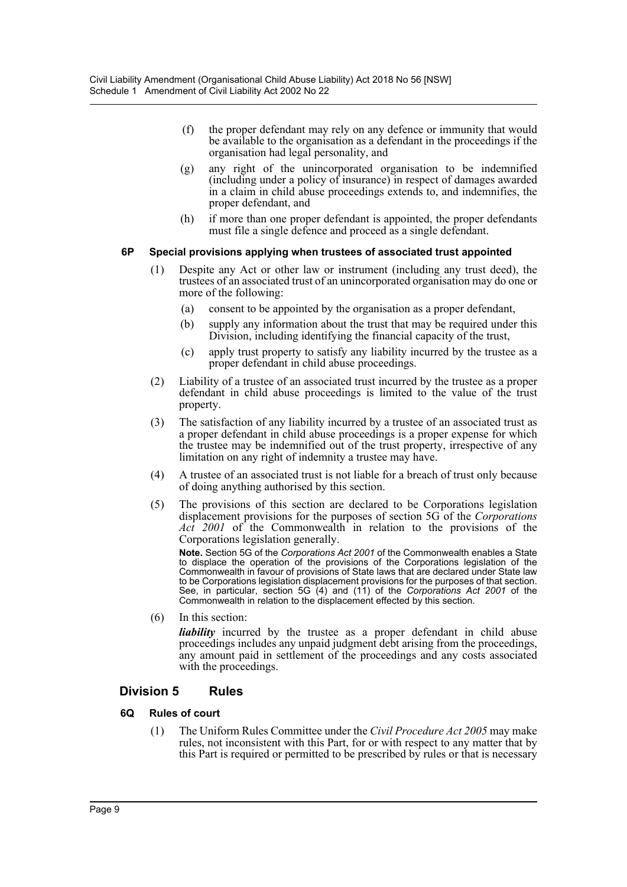- (f) the proper defendant may rely on any defence or immunity that would be available to the organisation as a defendant in the proceedings if the organisation had legal personality, and
- (g) any right of the unincorporated organisation to be indemnified (including under a policy of insurance) in respect of damages awarded in a claim in child abuse proceedings extends to, and indemnifies, the proper defendant, and
- (h) if more than one proper defendant is appointed, the proper defendants must file a single defence and proceed as a single defendant.

#### **6P Special provisions applying when trustees of associated trust appointed**

- (1) Despite any Act or other law or instrument (including any trust deed), the trustees of an associated trust of an unincorporated organisation may do one or more of the following:
	- (a) consent to be appointed by the organisation as a proper defendant,
	- (b) supply any information about the trust that may be required under this Division, including identifying the financial capacity of the trust,
	- (c) apply trust property to satisfy any liability incurred by the trustee as a proper defendant in child abuse proceedings.
- (2) Liability of a trustee of an associated trust incurred by the trustee as a proper defendant in child abuse proceedings is limited to the value of the trust property.
- (3) The satisfaction of any liability incurred by a trustee of an associated trust as a proper defendant in child abuse proceedings is a proper expense for which the trustee may be indemnified out of the trust property, irrespective of any limitation on any right of indemnity a trustee may have.
- (4) A trustee of an associated trust is not liable for a breach of trust only because of doing anything authorised by this section.
- (5) The provisions of this section are declared to be Corporations legislation displacement provisions for the purposes of section 5G of the *Corporations Act 2001* of the Commonwealth in relation to the provisions of the Corporations legislation generally.

**Note.** Section 5G of the *Corporations Act 2001* of the Commonwealth enables a State to displace the operation of the provisions of the Corporations legislation of the Commonwealth in favour of provisions of State laws that are declared under State law to be Corporations legislation displacement provisions for the purposes of that section. See, in particular, section 5G (4) and (11) of the *Corporations Act 2001* of the Commonwealth in relation to the displacement effected by this section.

(6) In this section:

*liability* incurred by the trustee as a proper defendant in child abuse proceedings includes any unpaid judgment debt arising from the proceedings, any amount paid in settlement of the proceedings and any costs associated with the proceedings.

# **Division 5 Rules**

## **6Q Rules of court**

(1) The Uniform Rules Committee under the *Civil Procedure Act 2005* may make rules, not inconsistent with this Part, for or with respect to any matter that by this Part is required or permitted to be prescribed by rules or that is necessary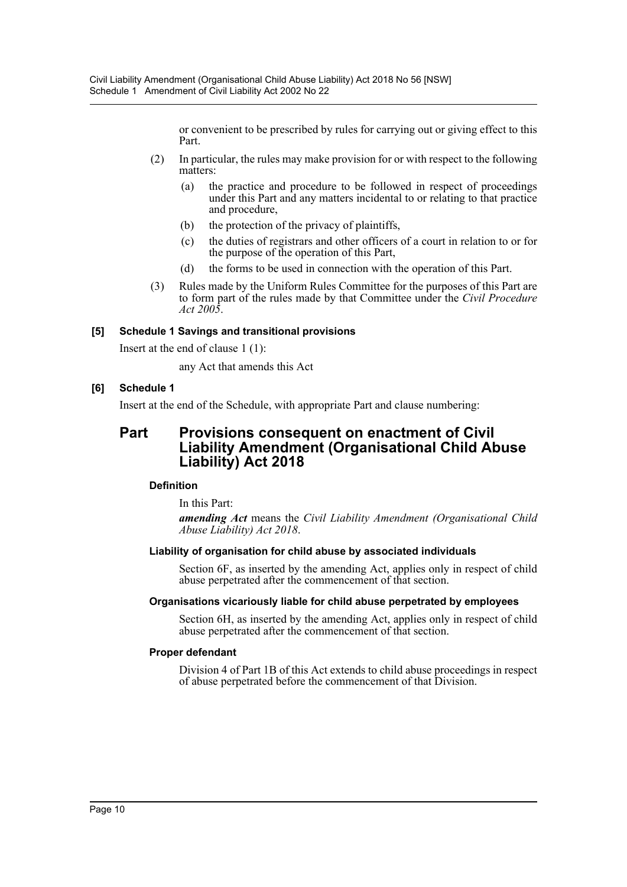or convenient to be prescribed by rules for carrying out or giving effect to this Part.

- (2) In particular, the rules may make provision for or with respect to the following matters:
	- (a) the practice and procedure to be followed in respect of proceedings under this Part and any matters incidental to or relating to that practice and procedure,
	- (b) the protection of the privacy of plaintiffs,
	- (c) the duties of registrars and other officers of a court in relation to or for the purpose of the operation of this Part,
	- (d) the forms to be used in connection with the operation of this Part.
- (3) Rules made by the Uniform Rules Committee for the purposes of this Part are to form part of the rules made by that Committee under the *Civil Procedure Act 2005*.

#### **[5] Schedule 1 Savings and transitional provisions**

Insert at the end of clause 1 (1):

any Act that amends this Act

#### **[6] Schedule 1**

Insert at the end of the Schedule, with appropriate Part and clause numbering:

# **Part Provisions consequent on enactment of Civil Liability Amendment (Organisational Child Abuse Liability) Act 2018**

#### **Definition**

In this Part:

*amending Act* means the *Civil Liability Amendment (Organisational Child Abuse Liability) Act 2018*.

#### **Liability of organisation for child abuse by associated individuals**

Section 6F, as inserted by the amending Act, applies only in respect of child abuse perpetrated after the commencement of that section.

#### **Organisations vicariously liable for child abuse perpetrated by employees**

Section 6H, as inserted by the amending Act, applies only in respect of child abuse perpetrated after the commencement of that section.

#### **Proper defendant**

Division 4 of Part 1B of this Act extends to child abuse proceedings in respect of abuse perpetrated before the commencement of that Division.